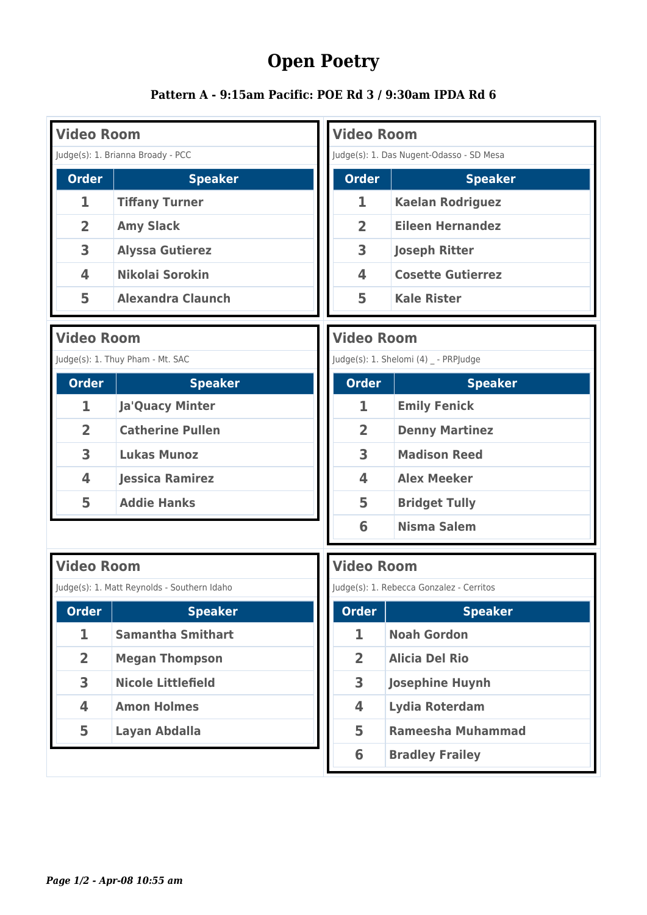## **Open Poetry**

## **Pattern A - 9:15am Pacific: POE Rd 3 / 9:30am IPDA Rd 6**

| <b>Video Room</b>       |                                   | <b>Video Room</b>                        |                                       |
|-------------------------|-----------------------------------|------------------------------------------|---------------------------------------|
|                         | Judge(s): 1. Brianna Broady - PCC | Judge(s): 1. Das Nugent-Odasso - SD Mesa |                                       |
| <b>Order</b>            | <b>Speaker</b>                    | <b>Order</b>                             | <b>Speaker</b>                        |
| 1                       | <b>Tiffany Turner</b>             | 1                                        | <b>Kaelan Rodriguez</b>               |
| $\overline{2}$          | <b>Amy Slack</b>                  | $\overline{2}$                           | <b>Eileen Hernandez</b>               |
| 3                       | <b>Alyssa Gutierez</b>            | 3                                        | <b>Joseph Ritter</b>                  |
| $\overline{\mathbf{4}}$ | Nikolai Sorokin                   | $\overline{\mathbf{4}}$                  | <b>Cosette Gutierrez</b>              |
| 5                       | <b>Alexandra Claunch</b>          | 5                                        | <b>Kale Rister</b>                    |
| <b>Video Room</b>       |                                   | <b>Video Room</b>                        |                                       |
|                         | Judge(s): 1. Thuy Pham - Mt. SAC  |                                          | Judge(s): 1. Shelomi (4) _ - PRPJudge |

| <b>Order</b>   | <b>Speaker</b>          |
|----------------|-------------------------|
| ı              | <b>Ja'Quacy Minter</b>  |
| $\overline{2}$ | <b>Catherine Pullen</b> |
| 3              | <b>Lukas Munoz</b>      |
| 4              | <b>Jessica Ramirez</b>  |
| 5              | <b>Addie Hanks</b>      |

|              | Judge(s): 1. Shelomi (4) - PRPJudge |
|--------------|-------------------------------------|
| <b>Order</b> | <b>Speaker</b>                      |
| 1            | <b>Emily Fenick</b>                 |
| 2            | <b>Denny Martinez</b>               |
| 3            | <b>Madison Reed</b>                 |
| 4            | <b>Alex Meeker</b>                  |
| 5            | <b>Bridget Tully</b>                |
| 6            | <b>Nisma Salem</b>                  |

| <b>Video Room</b> |                                             |
|-------------------|---------------------------------------------|
|                   | Judge(s): 1. Matt Reynolds - Southern Idaho |
| <b>Order</b>      | <b>Speaker</b>                              |
| ı.                | <b>Samantha Smithart</b>                    |
| $\overline{2}$    | <b>Megan Thompson</b>                       |
| 3                 | <b>Nicole Littlefield</b>                   |
| 4                 | <b>Amon Holmes</b>                          |
| 5                 | Layan Abdalla                               |
|                   |                                             |

|                | Judge(s): 1. Rebecca Gonzalez - Cerritos |
|----------------|------------------------------------------|
| <b>Order</b>   | <b>Speaker</b>                           |
| 1              | <b>Noah Gordon</b>                       |
| $\overline{2}$ | <b>Alicia Del Rio</b>                    |
| 3              | <b>Josephine Huynh</b>                   |
| 4              | <b>Lydia Roterdam</b>                    |
| 5              | Rameesha Muhammad                        |
| 6              | <b>Bradley Frailey</b>                   |

**Video Room**